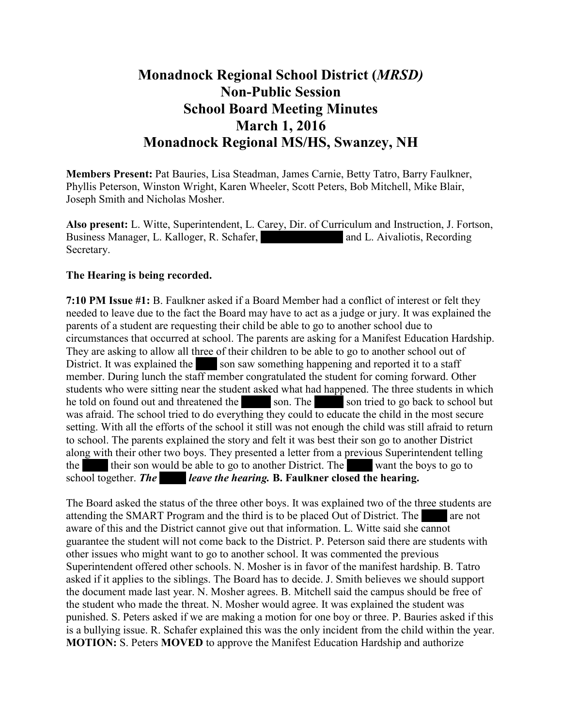## **Monadnock Regional School District (***MRSD)* **Non-Public Session School Board Meeting Minutes March 1, 2016 Monadnock Regional MS/HS, Swanzey, NH**

**Members Present:** Pat Bauries, Lisa Steadman, James Carnie, Betty Tatro, Barry Faulkner, Phyllis Peterson, Winston Wright, Karen Wheeler, Scott Peters, Bob Mitchell, Mike Blair, Joseph Smith and Nicholas Mosher.

**Also present:** L. Witte, Superintendent, L. Carey, Dir. of Curriculum and Instruction, J. Fortson, Business Manager, L. Kalloger, R. Schafer, Mrs. and L. Aivaliotis, Recording Secretary.

## **The Hearing is being recorded.**

**7:10 PM Issue #1:** B. Faulkner asked if a Board Member had a conflict of interest or felt they needed to leave due to the fact the Board may have to act as a judge or jury. It was explained the parents of a student are requesting their child be able to go to another school due to circumstances that occurred at school. The parents are asking for a Manifest Education Hardship. They are asking to allow all three of their children to be able to go to another school out of District. It was explained the son saw something happening and reported it to a staff member. During lunch the staff member congratulated the student for coming forward. Other students who were sitting near the student asked what had happened. The three students in which he told on found out and threatened the son. The son tried to go back to school but was afraid. The school tried to do everything they could to educate the child in the most secure setting. With all the efforts of the school it still was not enough the child was still afraid to return to school. The parents explained the story and felt it was best their son go to another District along with their other two boys. They presented a letter from a previous Superintendent telling the Bergs their son would be able to go to another District. The Bergs want the boys to go to school together. *The leave the hearing.* **B.** Faulkner closed the hearing.

The Board asked the status of the three other boys. It was explained two of the three students are attending the SMART Program and the third is to be placed Out of District. The are not aware of this and the District cannot give out that information. L. Witte said she cannot guarantee the student will not come back to the District. P. Peterson said there are students with other issues who might want to go to another school. It was commented the previous Superintendent offered other schools. N. Mosher is in favor of the manifest hardship. B. Tatro asked if it applies to the siblings. The Board has to decide. J. Smith believes we should support the document made last year. N. Mosher agrees. B. Mitchell said the campus should be free of the student who made the threat. N. Mosher would agree. It was explained the student was punished. S. Peters asked if we are making a motion for one boy or three. P. Bauries asked if this is a bullying issue. R. Schafer explained this was the only incident from the child within the year. **MOTION:** S. Peters **MOVED** to approve the Manifest Education Hardship and authorize